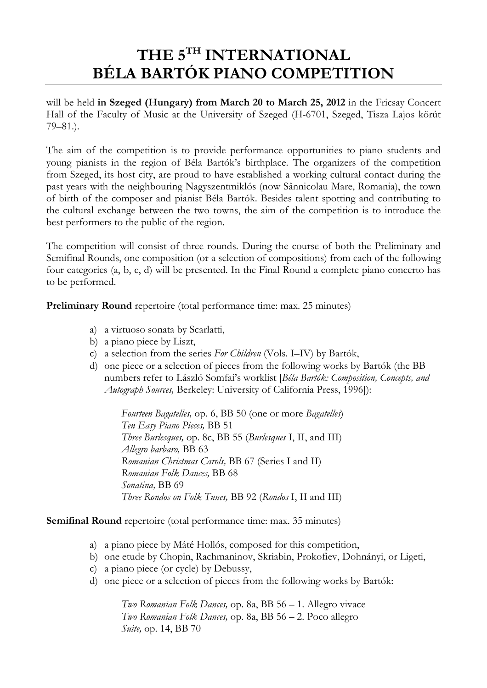# THE 5TH INTERNATIONAL BÉLA BARTÓK PIANO COMPETITION

will be held in Szeged (Hungary) from March 20 to March 25, 2012 in the Fricsay Concert Hall of the Faculty of Music at the University of Szeged (H-6701, Szeged, Tisza Lajos körút 79–81.).

The aim of the competition is to provide performance opportunities to piano students and young pianists in the region of Béla Bartók's birthplace. The organizers of the competition from Szeged, its host city, are proud to have established a working cultural contact during the past years with the neighbouring Nagyszentmiklós (now Sânnicolau Mare, Romania), the town of birth of the composer and pianist Béla Bartók. Besides talent spotting and contributing to the cultural exchange between the two towns, the aim of the competition is to introduce the best performers to the public of the region.

The competition will consist of three rounds. During the course of both the Preliminary and Semifinal Rounds, one composition (or a selection of compositions) from each of the following four categories (a, b, c, d) will be presented. In the Final Round a complete piano concerto has to be performed.

Preliminary Round repertoire (total performance time: max. 25 minutes)

- a) a virtuoso sonata by Scarlatti,
- b) a piano piece by Liszt,
- c) a selection from the series For Children (Vols. I–IV) by Bartók,
- d) one piece or a selection of pieces from the following works by Bartók (the BB numbers refer to László Somfai's worklist [Béla Bartók: Composition, Concepts, and Autograph Sources, Berkeley: University of California Press, 1996]):

 Fourteen Bagatelles, op. 6, BB 50 (one or more Bagatelles) Ten Easy Piano Pieces, BB 51 Three Burlesques, op. 8c, BB 55 (Burlesques I, II, and III) Allegro barbaro, BB 63 Romanian Christmas Carols, BB 67 (Series I and II) Romanian Folk Dances, BB 68 Sonatina, BB 69 Three Rondos on Folk Tunes, BB 92 (Rondos I, II and III)

Semifinal Round repertoire (total performance time: max. 35 minutes)

- a) a piano piece by Máté Hollós, composed for this competition,
- b) one etude by Chopin, Rachmaninov, Skriabin, Prokofiev, Dohnányi, or Ligeti,
- c) a piano piece (or cycle) by Debussy,
- d) one piece or a selection of pieces from the following works by Bartók:

 Two Romanian Folk Dances, op. 8a, BB 56 – 1. Allegro vivace Two Romanian Folk Dances, op. 8a, BB 56 – 2. Poco allegro Suite, op. 14, BB 70